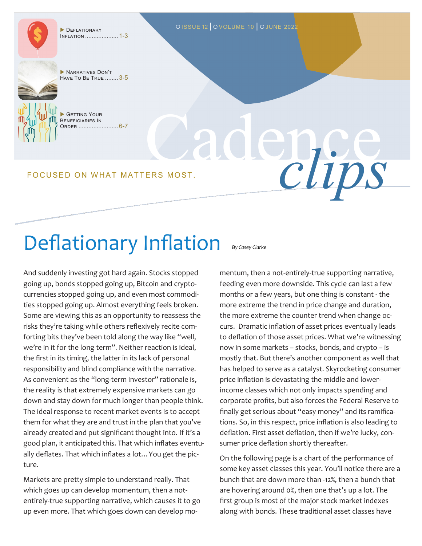Inflation .................... 1-3

DEFLATIONARY DEFLATIONARY DISSUE 12 OVOLUME 10 OJUNE 2022



GETTING YOUR Beneficiaries In Order ........................ 6-7

Cadence FOCUSED ON WHAT MATTERS MOST.

# Deflationary Inflation

And suddenly investing got hard again. Stocks stopped going up, bonds stopped going up, Bitcoin and cryptocurrencies stopped going up, and even most commodities stopped going up. Almost everything feels broken. Some are viewing this as an opportunity to reassess the risks they're taking while others reflexively recite comforting bits they've been told along the way like "well, we're in it for the long term". Neither reaction is ideal, the first in its timing, the latter in its lack of personal responsibility and blind compliance with the narrative. As convenient as the "long-term investor" rationale is, the reality is that extremely expensive markets can go down and stay down for much longer than people think. The ideal response to recent market events is to accept them for what they are and trust in the plan that you've already created and put significant thought into. If it's a good plan, it anticipated this. That which inflates eventually deflates. That which inflates a lot…You get the picture.

Markets are pretty simple to understand really. That which goes up can develop momentum, then a notentirely-true supporting narrative, which causes it to go up even more. That which goes down can develop mo*By Casey Clarke*

mentum, then a not-entirely-true supporting narrative, feeding even more downside. This cycle can last a few months or a few years, but one thing is constant - the more extreme the trend in price change and duration, the more extreme the counter trend when change occurs. Dramatic inflation of asset prices eventually leads to deflation of those asset prices. What we're witnessing now in some markets – stocks, bonds, and crypto – is mostly that. But there's another component as well that has helped to serve as a catalyst. Skyrocketing consumer price inflation is devastating the middle and lowerincome classes which not only impacts spending and corporate profits, but also forces the Federal Reserve to finally get serious about "easy money" and its ramifications. So, in this respect, price inflation is also leading to deflation. First asset deflation, then if we're lucky, consumer price deflation shortly thereafter.

On the following page is a chart of the performance of some key asset classes this year. You'll notice there are a bunch that are down more than -12%, then a bunch that are hovering around 0%, then one that's up a lot. The first group is most of the major stock market indexes along with bonds. These traditional asset classes have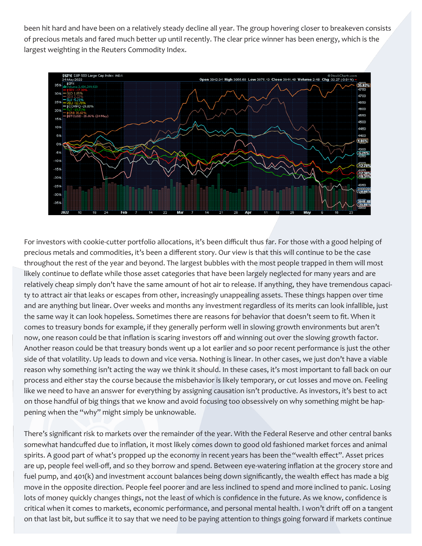been hit hard and have been on a relatively steady decline all year. The group hovering closer to breakeven consists of precious metals and fared much better up until recently. The clear price winner has been energy, which is the largest weighting in the Reuters Commodity Index.



For investors with cookie-cutter portfolio allocations, it's been difficult thus far. For those with a good helping of precious metals and commodities, it's been a different story. Our view is that this will continue to be the case throughout the rest of the year and beyond. The largest bubbles with the most people trapped in them will most likely continue to deflate while those asset categories that have been largely neglected for many years and are relatively cheap simply don't have the same amount of hot air to release. If anything, they have tremendous capacity to attract air that leaks or escapes from other, increasingly unappealing assets. These things happen over time and are anything but linear. Over weeks and months any investment regardless of its merits can look infallible, just the same way it can look hopeless. Sometimes there are reasons for behavior that doesn't seem to fit. When it comes to treasury bonds for example, if they generally perform well in slowing growth environments but aren't now, one reason could be that inflation is scaring investors off and winning out over the slowing growth factor. Another reason could be that treasury bonds went up a lot earlier and so poor recent performance is just the other side of that volatility. Up leads to down and vice versa. Nothing is linear. In other cases, we just don't have a viable reason why something isn't acting the way we think it should. In these cases, it's most important to fall back on our process and either stay the course because the misbehavior is likely temporary, or cut losses and move on. Feeling like we need to have an answer for everything by assigning causation isn't productive. As investors, it's best to act on those handful of big things that we know and avoid focusing too obsessively on why something might be happening when the "why" might simply be unknowable.

There's significant risk to markets over the remainder of the year. With the Federal Reserve and other central banks somewhat handcuffed due to inflation, it most likely comes down to good old fashioned market forces and animal spirits. A good part of what's propped up the economy in recent years has been the "wealth effect". Asset prices are up, people feel well-off, and so they borrow and spend. Between eye-watering inflation at the grocery store and fuel pump, and 401(k) and investment account balances being down significantly, the wealth effect has made a big move in the opposite direction. People feel poorer and are less inclined to spend and more inclined to panic. Losing lots of money quickly changes things, not the least of which is confidence in the future. As we know, confidence is critical when it comes to markets, economic performance, and personal mental health. I won't drift off on a tangent on that last bit, but suffice it to say that we need to be paying attention to things going forward if markets continue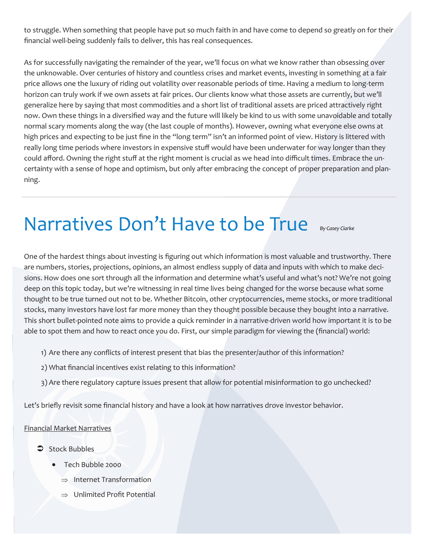to struggle. When something that people have put so much faith in and have come to depend so greatly on for their financial well-being suddenly fails to deliver, this has real consequences.

As for successfully navigating the remainder of the year, we'll focus on what we know rather than obsessing over the unknowable. Over centuries of history and countless crises and market events, investing in something at a fair price allows one the luxury of riding out volatility over reasonable periods of time. Having a medium to long-term horizon can truly work if we own assets at fair prices. Our clients know what those assets are currently, but we'll generalize here by saying that most commodities and a short list of traditional assets are priced attractively right now. Own these things in a diversified way and the future will likely be kind to us with some unavoidable and totally normal scary moments along the way (the last couple of months). However, owning what everyone else owns at high prices and expecting to be just fine in the "long term" isn't an informed point of view. History is littered with really long time periods where investors in expensive stuff would have been underwater for way longer than they could afford. Owning the right stuff at the right moment is crucial as we head into difficult times. Embrace the uncertainty with a sense of hope and optimism, but only after embracing the concept of proper preparation and planning.

### **Narratives Don't Have to be True** By Casey Clarke

One of the hardest things about investing is figuring out which information is most valuable and trustworthy. There are numbers, stories, projections, opinions, an almost endless supply of data and inputs with which to make decisions. How does one sort through all the information and determine what's useful and what's not? We're not going deep on this topic today, but we're witnessing in real time lives being changed for the worse because what some thought to be true turned out not to be. Whether Bitcoin, other cryptocurrencies, meme stocks, or more traditional stocks, many investors have lost far more money than they thought possible because they bought into a narrative. This short bullet-pointed note aims to provide a quick reminder in a narrative-driven world how important it is to be able to spot them and how to react once you do. First, our simple paradigm for viewing the (financial) world:

- 1) Are there any conflicts of interest present that bias the presenter/author of this information?
- 2) What financial incentives exist relating to this information?
- 3) Are there regulatory capture issues present that allow for potential misinformation to go unchecked?

Let's briefly revisit some financial history and have a look at how narratives drove investor behavior.

### Financial Market Narratives

- Stock Bubbles
	- Tech Bubble 2000
		- $\Rightarrow$  Internet Transformation
		- $\Rightarrow$  Unlimited Profit Potential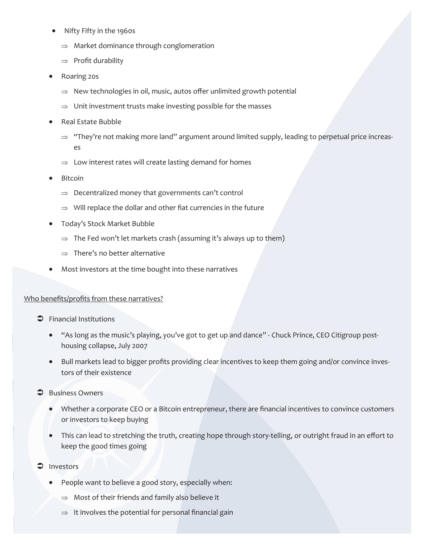- Nifty Fifty in the 1960s
	- $\Rightarrow$  Market dominance through conglomeration
	- $\Rightarrow$  Profit durability
- Roaring 20s
	- $\Rightarrow$  New technologies in oil, music, autos offer unlimited growth potential
	- $\Rightarrow$  Unit investment trusts make investing possible for the masses
- Real Estate Bubble
	- $\Rightarrow$  "They're not making more land" argument around limited supply, leading to perpetual price increases
	- $\Rightarrow$  Low interest rates will create lasting demand for homes
- **Bitcoin** 
	- $\Rightarrow$  Decentralized money that governments can't control
	- $\Rightarrow$  Will replace the dollar and other fiat currencies in the future
- Today's Stock Market Bubble
	- $\Rightarrow$  The Fed won't let markets crash (assuming it's always up to them)
	- $\Rightarrow$  There's no better alternative
- Most investors at the time bought into these narratives

### Who benefits/profits from these narratives?

- $\bullet$  Financial Institutions
	- "As long as the music's playing, you've got to get up and dance" Chuck Prince, CEO Citigroup posthousing collapse, July 2007
	- Bull markets lead to bigger profits providing clear incentives to keep them going and/or convince investors of their existence
- **Business Owners** 
	- Whether a corporate CEO or a Bitcoin entrepreneur, there are financial incentives to convince customers or investors to keep buying
	- This can lead to stretching the truth, creating hope through story-telling, or outright fraud in an effort to keep the good times going
- $\supset$  Investors
	- People want to believe a good story, especially when:
		- $\Rightarrow$  Most of their friends and family also believe it
		- $\Rightarrow$  It involves the potential for personal financial gain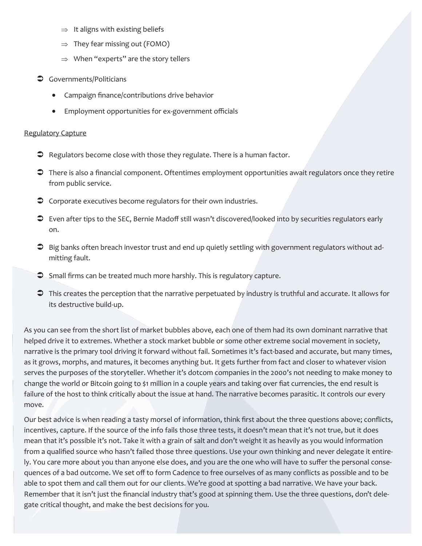- $\Rightarrow$  It aligns with existing beliefs
- $\Rightarrow$  They fear missing out (FOMO)
- $\Rightarrow$  When "experts" are the story tellers
- **C** Governments/Politicians
	- Campaign finance/contributions drive behavior
	- Employment opportunities for ex-government officials

### Regulatory Capture

- $\supset$  Regulators become close with those they regulate. There is a human factor.
- There is also a financial component. Oftentimes employment opportunities await regulators once they retire from public service.
- $\supset$  Corporate executives become regulators for their own industries.
- Even after tips to the SEC, Bernie Madoff still wasn't discovered/looked into by securities regulators early on.
- $\supset$  Big banks often breach investor trust and end up quietly settling with government regulators without admitting fault.
- Small firms can be treated much more harshly. This is regulatory capture.
- This creates the perception that the narrative perpetuated by industry is truthful and accurate. It allows for its destructive build-up.

As you can see from the short list of market bubbles above, each one of them had its own dominant narrative that helped drive it to extremes. Whether a stock market bubble or some other extreme social movement in society, narrative is the primary tool driving it forward without fail. Sometimes it's fact-based and accurate, but many times, as it grows, morphs, and matures, it becomes anything but. It gets further from fact and closer to whatever vision serves the purposes of the storyteller. Whether it's dotcom companies in the 2000's not needing to make money to change the world or Bitcoin going to \$1 million in a couple years and taking over fiat currencies, the end result is failure of the host to think critically about the issue at hand. The narrative becomes parasitic. It controls our every move.

Our best advice is when reading a tasty morsel of information, think first about the three questions above; conflicts, incentives, capture. If the source of the info fails those three tests, it doesn't mean that it's not true, but it does mean that it's possible it's not. Take it with a grain of salt and don't weight it as heavily as you would information from a qualified source who hasn't failed those three questions. Use your own thinking and never delegate it entirely. You care more about you than anyone else does, and you are the one who will have to suffer the personal consequences of a bad outcome. We set off to form Cadence to free ourselves of as many conflicts as possible and to be able to spot them and call them out for our clients. We're good at spotting a bad narrative. We have your back. Remember that it isn't just the financial industry that's good at spinning them. Use the three questions, don't delegate critical thought, and make the best decisions for you.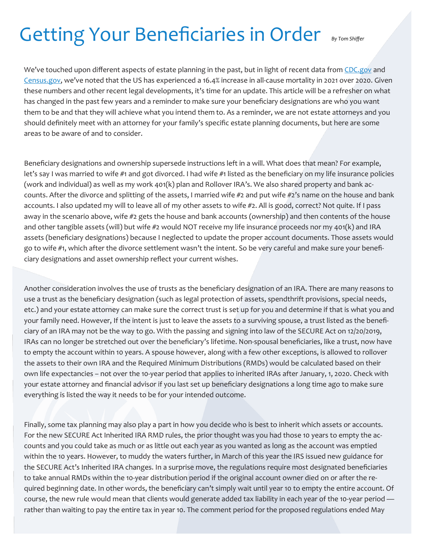## Getting Your Beneficiaries in Order By Tom Shiffer

We've touched upon different aspects of estate planning in the past, but in light of recent data from [CDC.gov](cdc.gov) and [Census.gov,](census.gov) we've noted that the US has experienced a 16.4% increase in all-cause mortality in 2021 over 2020. Given these numbers and other recent legal developments, it's time for an update. This article will be a refresher on what has changed in the past few years and a reminder to make sure your beneficiary designations are who you want them to be and that they will achieve what you intend them to. As a reminder, we are not estate attorneys and you should definitely meet with an attorney for your family's specific estate planning documents, but here are some areas to be aware of and to consider.

Beneficiary designations and ownership supersede instructions left in a will. What does that mean? For example, let's say I was married to wife #1 and got divorced. I had wife #1 listed as the beneficiary on my life insurance policies (work and individual) as well as my work 401(k) plan and Rollover IRA's. We also shared property and bank accounts. After the divorce and splitting of the assets, I married wife #2 and put wife #2's name on the house and bank accounts. I also updated my will to leave all of my other assets to wife #2. All is good, correct? Not quite. If I pass away in the scenario above, wife #2 gets the house and bank accounts (ownership) and then contents of the house and other tangible assets (will) but wife #2 would NOT receive my life insurance proceeds nor my 401(k) and IRA assets (beneficiary designations) because I neglected to update the proper account documents. Those assets would go to wife #1, which after the divorce settlement wasn't the intent. So be very careful and make sure your beneficiary designations and asset ownership reflect your current wishes.

Another consideration involves the use of trusts as the beneficiary designation of an IRA. There are many reasons to use a trust as the beneficiary designation (such as legal protection of assets, spendthrift provisions, special needs, etc.) and your estate attorney can make sure the correct trust is set up for you and determine if that is what you and your family need. However, If the intent is just to leave the assets to a surviving spouse, a trust listed as the beneficiary of an IRA may not be the way to go. With the passing and signing into law of the SECURE Act on 12/20/2019, IRAs can no longer be stretched out over the beneficiary's lifetime. Non-spousal beneficiaries, like a trust, now have to empty the account within 10 years. A spouse however, along with a few other exceptions, is allowed to rollover the assets to their own IRA and the Required Minimum Distributions (RMDs) would be calculated based on their own life expectancies – not over the 10-year period that applies to inherited IRAs after January, 1, 2020. Check with your estate attorney and financial advisor if you last set up beneficiary designations a long time ago to make sure everything is listed the way it needs to be for your intended outcome.

Finally, some tax planning may also play a part in how you decide who is best to inherit which assets or accounts. For the new SECURE Act Inherited IRA RMD rules, the prior thought was you had those 10 years to empty the accounts and you could take as much or as little out each year as you wanted as long as the account was emptied within the 10 years. However, to muddy the waters further, in March of this year the IRS issued new guidance for the SECURE Act's Inherited IRA changes. In a surprise move, the regulations require most designated beneficiaries to take annual RMDs within the 10-year distribution period if the original account owner died on or after the required beginning date. In other words, the beneficiary can't simply wait until year 10 to empty the entire account. Of course, the new rule would mean that clients would generate added tax liability in each year of the 10-year period rather than waiting to pay the entire tax in year 10. The comment period for the proposed regulations ended May